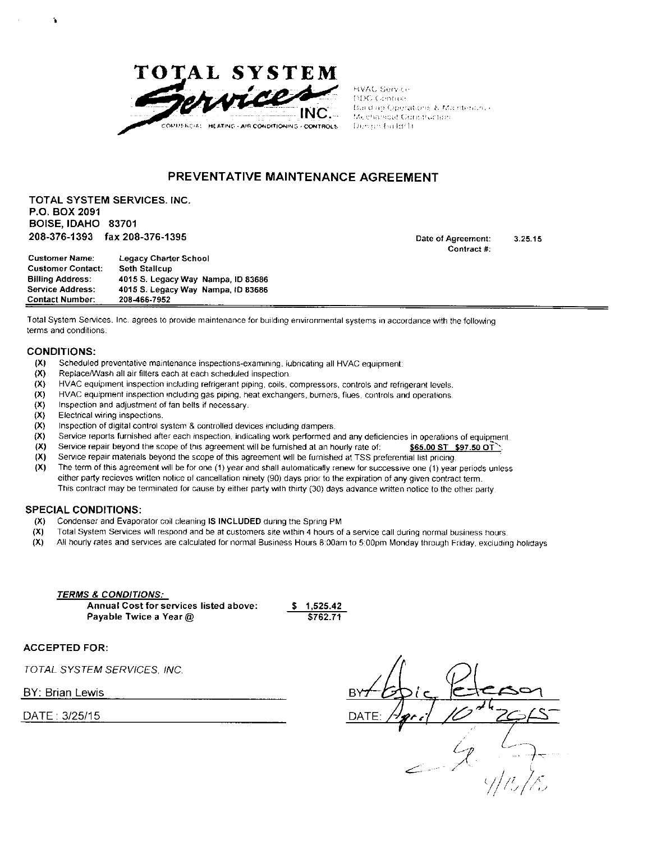

HVAC Service 110C. Controls Building Operations & Maintenance Meetinecal Construction Dengin Euridi II.

### **PREVENTATIVE MAINTENANCE AGREEMENT**

**TOTAL SYSTEM SERVICES. INC. P.O. BOX 2091 BOISE, IDAHO 83701 208-376-1393 fax 208-376-1395 Date ol Agreement:** 

**Contract #: 3.25.15** 

| <b>Customer Name:</b>    | <b>Legacy Charter School</b>       |  |
|--------------------------|------------------------------------|--|
| <b>Customer Contact:</b> | <b>Seth Stallcup</b>               |  |
| <b>Billing Address:</b>  | 4015 S. Legacy Way Nampa, ID 83686 |  |
| <b>Service Address:</b>  | 4015 S. Legacy Way Nampa, ID 83686 |  |
| <b>Contact Number:</b>   | 208-466-7952                       |  |

**Total System Services, inc agrees to provide maintenance for building environmental systems in accordance with the following terms and conditions.** 

#### **CONDITIONS:**

- **(X) Scheduled preventative maintenance inspections-examining, lubricating all HVAC equipment:**
- **(X) ReplaceAA/ash all air filters each at each scheduled inspection.**
- **(X) HVAC equipment inspection including retrigerant piping, coils, compressors, controls and refrigerant levels,**
- **(X) HVAC equipment inspection including gas piping, heat exchangers, burners, flues, controls and operations.**
- **(X) inspection and adjustment of fan belts if necessary.**
- **(X) Electrical wiring inspections.**
- **(X) Inspection of digital control system & controlled devices including dampers.**
- **(X) Service reports furnished after each inspeclion, indicating work performed and any deficiencies in operations of equipment**
- **(X)** Service repair beyond the scope of this agreement will be furnished at an hourly rate of: \$65.00 ST \$97.50 OT
- **(X)** Service repair materials beyond the scope of this agreement will be furnished at TSS preferential list pricing.
- **{X) The term of this agreement will be for one (1) year and shall automatically renew for successive one (1) year periods unless either party recieves written notice of cancellation ninety (90) days prior to the expiration of any given contract term. This contract may be terminated for cause by either party with thirty (30) days advance written notice to the other party**

#### **SPECIAL CONDITIONS;**

- **(X) Condenser and Evaporator coil cleaning IS INCLUDED during the Spring PM**
- **(X) Total System Services will respond and be at customers site within 4 hours of a service call during normal business hours.**
- **(X) All hourly rates and services are calculated for normal Business Hours 6 00am to 5:00pm Monday through Friday, excluding holidays**

*TERMS & CONDITIONS:*  **Annual Cost for services listed above: \$ 1.525.42 Payable Twice a Year @ 6762.71** 

**ACCEPTED FOR:** 

*TOTAL SYSTEM SERVICES. INC.* 

BY: Brian Lewis

DATE: 3/25/15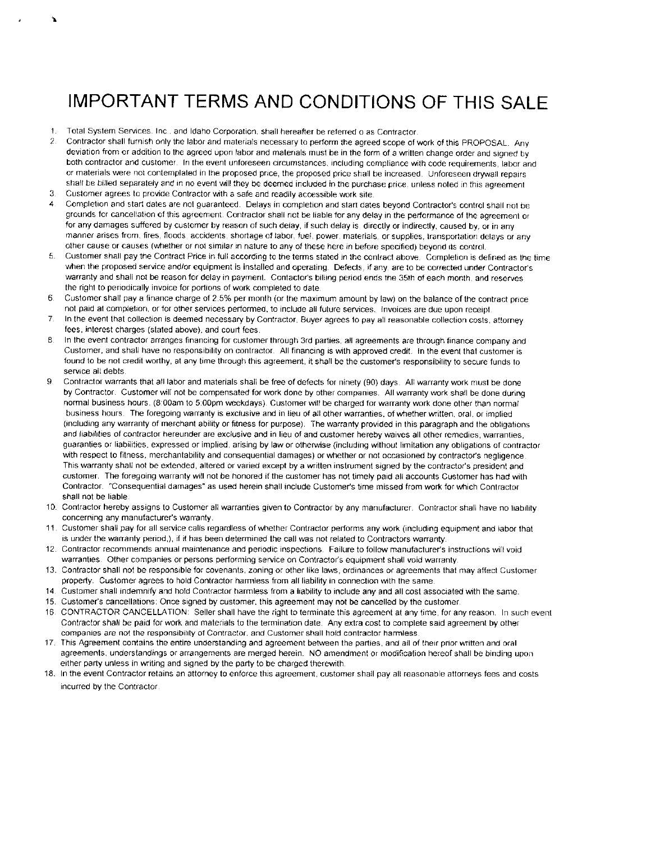## IMPORTANT TERMS AND CONDITIONS OF THIS SALE

- **1. Total System Services. Inc , and Idaho Corporation, shall hereafter be referred o as Contractor.**
- **2 Contractor shall furnish only the labor and materials necessary to perform the agreed scope of work of this PROPOSAL. Any deviation from or addition to the agreed upon labor and materials must be in the form of a written change order and signed by both contractor and customer, in the event unforeseen circumstances, including compliance with cede requirements, labor and or materials were not contemplated in the proposed price, the proposed price shall be increased. Unforeseen drywaii repairs**  shall be billed separately and in no event will they be deemed included in the purchase price, unless noted in this agreement
- 3. Customer agrees to provide Contractor with a safe and readily accessible work site.
- *4 Completion and star dates are not guaranted. Delays in completion and star dates beyond Contractor's control shall not be grounds for oanceltalton of this agrement. Contractor shall not be liable for any delay in the performance of the agrement or*  for any damages suffered by customer by reason of such delay, if such delay is, directly or indirectly, caused by, or in any *manner arises from, fires, flods accidents, shortage of labor, fuel, power, materials or suplies, transportation delays or any other cause or causes (whether or not similar in nature to any of these here in before specified) beyond its control.*
- *.5 Customer shall pay the Contract Price in full according to the terms stated in the contract above. Completion is defined as the lime when the proposed service and/or equipment is installed and operating. Defects, if any, are to be corected under Contractor's waranty and shall not be reason for delay in payment. Contactor's billing period ends the 35th of each month, and reserves the right to periodically invoice for portions of work completed to date.*
- *6 Customer shall pay a finance charge of 2.5% per month (or the maximum amount by law) on the balance of the contract price not paid at completion, or for other services performed, to include all futre services, invoices are due upon receipt*
- *.7 In the event that collection is demed necesary by Contractor, Buyer agres to pay all reasonable collection costs, atorney fes, interst charges (staed above), and court fes.*
- *8 In the event contractor aranges financing for customer through 3rd parties, ail agrements are through finance company and*  Customer, and shall have no responsibility on contractor. All financing is with approved credit, in the event that customer is **found to be not credit worthy, at any time through this agreement, it shall be the customer's responsibility to secure funds to service ail debts.**
- **9 Contractor warrants that all labor and materials shall be free of defects for ninety (90) days. All warranty vwrk must be done by Contractor. Customer will not be compensated for work done by other companies. All warranty work shail be done during normal business hours. (8 00am to 5:00pm weekdays). Customer will be charged for warranty work done other than normal business hours The foregoing warranty is exclusive and in lieu of all other warranties, of whether written, oral, or implied (including any warranty of merchant ability or fitness tor purpose). The warranty provided in this paragraph and the obligations and liabilities of contractor hereunder are exclusive and in lieu of and customer hereby waives all other remedies, warranties,**  guaranties or liabilities, expressed or implied, arising by law or otherwise (including without limitation any obligations of contractor **with respect to fitness, merchantability and consequential damages) or whether or not occasioned by contractor's negligence**  This warranty shall not be extended, altered or varied except by a written instrument signed by the contractor's president and **customer. The foregoing warranty will not be honored if the customer has not timely paid all accounts Customer has had with Contractor. "Consequential damages" as used herein shail include Customer's time missed from work for which Contractor shall not be liable**
- **10. Contractor hereby assigns to Customer all warranties given to Contractor by any manufacturer. Contractor shall have no liability concerning any manufacturer's warranty.**
- **11. Customer shall pay for all service calls regardless of whether Contractor performs any work (including equipment and labor that**  is under the warranty period,), if it has been determined the call was not related to Contractors warranty.
- **12. Contractor recommends annual maintenance and periodic inspections. Failure to follow manufacturer's instructions will void warranties. Other companies or persons performing service on Contractor's equipment shail void warranty.**
- **13. Contractor shall not be responsible for covenants, zoning or other like laws, ordinances or agreements that may affect Customer property. Customer agrees to hold Contractor harmless from all liability in connection with the same.**
- **14. Customer shall indemnify and hold Contractor harmless from a iiability to include any and all cost associated with the same.**
- **15. Customer's cancellations: Once signed by customer, this agreement may not be cancelled by the customer.**
- **16 CONTRACTOR CANCELLATION: Seller shall have the right to terminate this agreement at any lime, for any reason. In such event Contractor shall be paid for work and materials to the termination date. Any extra cost to complete said agreement by other companies are not the responsibiiity of Contractor, and Customer shall hold contractor harmless.**
- **17 This Agreement contains the entire understanding and agreement between the parties, and ail of their prior written and oral agreements, understandings or arrangements are merged herein. NO amendment or modification hereof shall be binding upon**  either party unless in writing and signed by the party to be charged therewith.
- **18. In the event Contractor retains an attorney to enforce this agreement, customer shall pay all reasonable attorneys fees and costs incurred by the Contractor**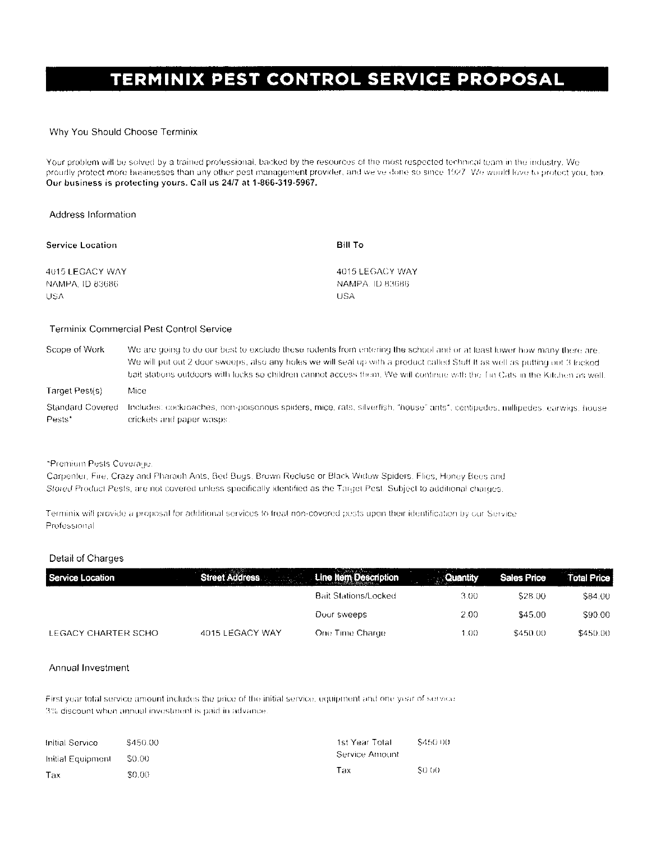# TERMINIX PEST CONTROL SERVICE PROPOSAL

#### Why You Should Choose Terminix

Your problem will be solved by a trained professional, backed by the resources of the most respected technical team in the industry. We proudly protect more businesses than any other pest management provider, and we've done so since 1927. We would love to protect you, too. Our business is protecting yours. Call us 24/7 at 1-866-319-5967.

#### Address Information

| Service Location | Bill To         |
|------------------|-----------------|
| 4015 LEGACY WAY  | 4015 LEGACY WAY |
| NAMPA. ID 83686- | NAMPA TD 83686  |
| USA              | USA             |

#### Terminix Commercial Pest Control Service

| Scope of Work              | We are going to do our best to exclude these rodents from entering the school and or at least lower how many there are.<br>We will put out 2 door sweeps, also any holes we will seal up with a product called Stuff It as well as putting out 3 locked<br>bait stations outdoors with locks so children cannot access them. We will continue with the Tin Cats in the Kitchen as well. |
|----------------------------|-----------------------------------------------------------------------------------------------------------------------------------------------------------------------------------------------------------------------------------------------------------------------------------------------------------------------------------------------------------------------------------------|
| Target Pest(s)             | Mice                                                                                                                                                                                                                                                                                                                                                                                    |
| Standard Covered<br>Pests* | Includes: cockroaches, non-poisonous spiders, mice, rats, silverfish, "house" ants*, centipedes, nillipedes, earwigs, house<br>crickets and paper wasps.                                                                                                                                                                                                                                |

#### \*Premium Pests Coverage.

Carpenter, Fire, Crazy and Pharaoh Ants, Bed Bugs, Brown Recluse or Black Widow Spiders, Flies, Honey Bees and Stored Product Pests, are not covered unless specifically identified as the Target Pest. Subject to additional charges,

Terminix will provide a proposal for additional services to freat non-covered pests upon their identification by our Service Professional

#### Detail of Charges

| Service Location    | Street Address Line Item Description |                             | <b><i>Cuantity</i></b> | <b>Sales Price</b> | <b>Total Price</b> |
|---------------------|--------------------------------------|-----------------------------|------------------------|--------------------|--------------------|
|                     |                                      | <b>Bait Stations/Locked</b> | 3.00                   | \$28.00            | S84.00             |
|                     |                                      | Door sweeps                 | 2.00                   | \$45.00            | \$90.00            |
| LEGACY CHARTER SCHO | 4015 LEGACY WAY                      | One Time Charge             | 1.00                   | \$450.00           | \$450.00           |

#### Annual Investment

First year total service amount includes the price of the initial service, equipment and one year of service. 3% discount when annual investment is paid in advance.

| Initial Service   | \$450.00 | \$450.00<br>1st Year Total |              |
|-------------------|----------|----------------------------|--------------|
| Initial Equipment | \$0.00   | -Service Amount            |              |
| Tax               | \$0.00   | Tax                        | <b>SO 60</b> |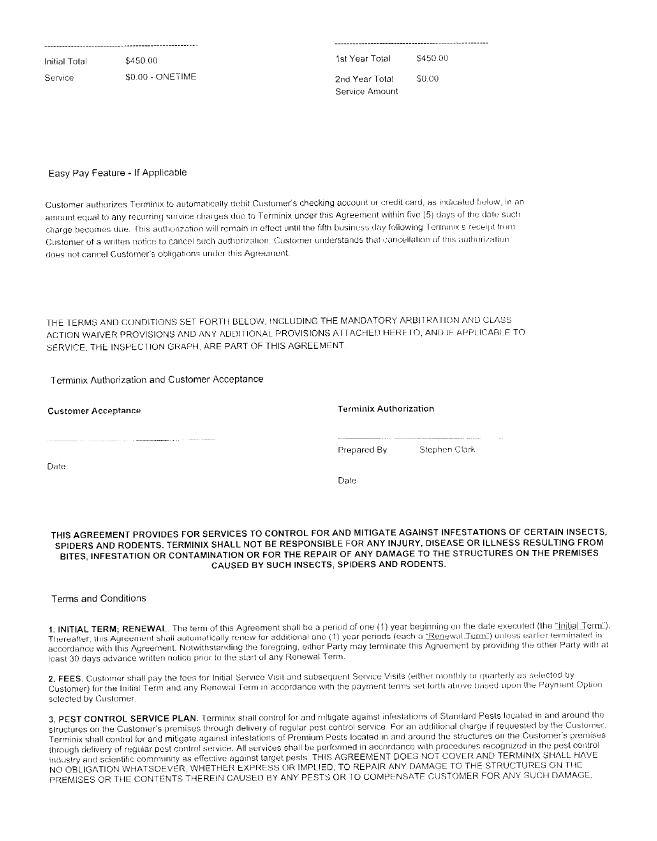| Initial Total | \$450.00         | 1st Year Total                    | \$450.00 |
|---------------|------------------|-----------------------------------|----------|
| Service       | \$0.00 - ONETIME | -2nd Year Total<br>Service Amount | \$0.00   |

#### Easy Pay Feature - If Applicable

Customer authorizes Terminix to automatically debit Customer's checking account or credit card, as indicated below, in an amount equal to any recurring service charges due to Terminix under this Agreement within five (5) days of the date such charge becomes due. This authorization will remain in effect until the fifth business day following Terminix's receipt from Customer of a written notice to cancel such authorization. Customer understands that cancellation of this authorization does not cancel Customer's obligations under this Agreement.

THE TERMS AND CONDITIONS SET FORTH BELOW, INCLUDING THE MANDATORY ARBITRATION AND CLASS ACTION WAIVER PROVISIONS AND ANY ADDITIONAL PROVISIONS ATTACHED HERETO, AND IF APPLICABLE TO SERVICE, THE INSPECTION GRAPH, ARE PART OF THIS AGREEMENT.

#### Terminix Authorization and Customer Acceptance

| Customer Acceptance | <b>Terminix Authorization</b> |               |
|---------------------|-------------------------------|---------------|
|                     | Prepared By                   | Stephen Clark |
| Date                | Date                          |               |

#### THIS AGREEMENT PROVIDES FOR SERVICES TO CONTROL FOR AND MITIGATE AGAINST INFESTATIONS OF CERTAIN INSECTS, SPIDERS AND RODENTS. TERMINIX SHALL NOT BE RESPONSIBLE FOR ANY INJURY, DISEASE OR ILLNESS RESULTING FROM BITES, INFESTATION OR CONTAMINATION OR FOR THE REPAIR OF ANY DAMAGE TO THE STRUCTURES ON THE PREMISES CAUSED BY SUCH INSECTS, SPIDERS AND RODENTS.

#### **Terms and Conditions**

1. INITIAL TERM; RENEWAL. The term of this Agreement shall be a period of one (1) year beginning on the date executed (the "initial Term"). Thereafter, this Agreement shall automatically renew for additional one (1) year periods (each a "Renewal Term") unless earlier terminated in accordance with this Agreement. Notwithstanding the foregoing, either Party may terminate this Agreement by providing the other Party with at least 30 days advance written notice prior to the start of any Renewal Term.

2. FEES. Customer shall pay the fees for Initial Service Visit and subsequent Service Visits (either monthly or quarterly as selected by Customer) for the Initial Term and any Renewal Term in accordance with the payment terms set forth above based upon the Payment Option selected by Customer.

3. PEST CONTROL SERVICE PLAN. Terminix shall control for and mitigate against infestations of Standard Pests located in and around the structures on the Customer's premises through delivery of regular pest control service. For an additional charge if requested by the Customer, Terminix shall control for and mitigate against infestations of Premium Pests located in and around the structures on the Customer's premises through delivery of regular pest control service. All services shall be performed in accordance with procedures recognized in the pest control industry and scientific community as effective against target pests. THIS AGREEMENT DOES NOT COVER AND TERMINIX SHALL HAVE NO OBLIGATION WHATSOEVER, WHETHER EXPRESS OR IMPLIED, TO REPAIR ANY DAMAGE TO THE STRUCTURES ON THE PREMISES OR THE CONTENTS THEREIN CAUSED BY ANY PESTS OR TO COMPENSATE CUSTOMER FOR ANY SUCH DAMAGE.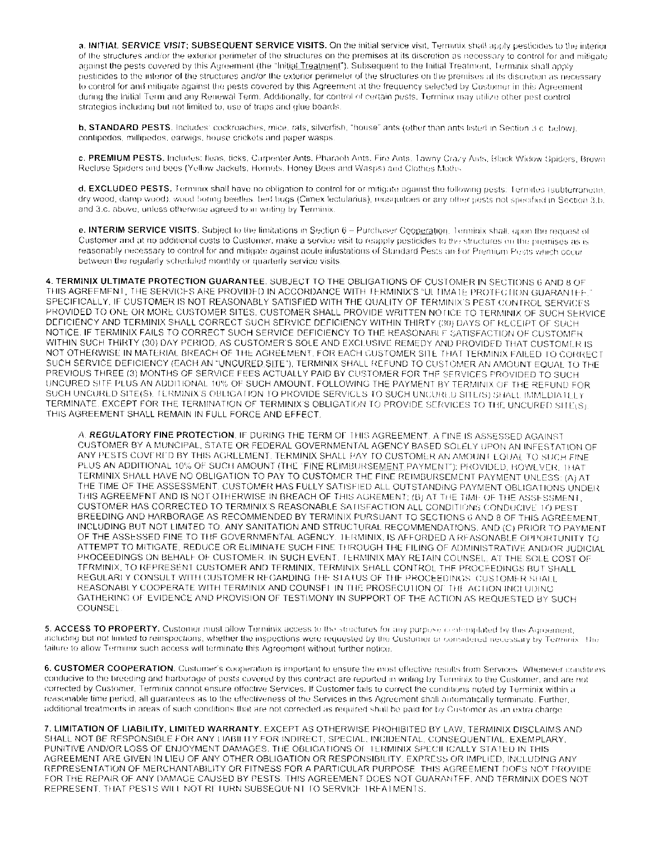a. INITIAL SERVICE VISIT; SUBSEQUENT SERVICE VISITS. On the initial service visit, Termanix shall apply pesticides to the interior of the structures and/or the exterior perimeter of the structures on the premises at its discretion as necessary to control for and mitigate against the pests covered by this Agreement (the "Initial Treatment"). Subsequent to the Initial Treatment, Terminix shall apply pesticides to the interior of the structures and/or the exterior perimeter of the structures on the premises at its discretion as necessary to control for and mitigate against the pests covered by this Agreement at the frequency selected by Customer in this Agreement during the Initial Term and any Renewal Term. Additionally, for control of certain pests. Terminix may utilize other pest control strategies including but not limited to, use of traps and glue boards.

b. STANDARD PESTS. Includes: cockroaches, mice, rats, silverfish, "house" ants (other than ants listed in Section 3 c. below). centipedes, millipedes, earwigs, house crickets and paper wasps

c. PREMIUM PESTS. Includes: fleas, ticks, Carpenter Ants. Pharaoh Ants. Fire Ants. Tawny Crazy Ants, Black Widow Spiders, Brown Recluse Spiders and bees (Yellow Jackets, Hornets, Honey Bees and Wasps) and Clothes Moths

d. EXCLUDED PESTS. Terminix shall have no obligation to control for or mitigate against the following pests: Termites (subterranean, dry wood, damp wood), wood boring beetles, bed bugs (Climex lectularius), mosquitoes or any other pests not specified in Section 3.b. and 3.c. above, unless otherwise agreed to in writing by Terminix.

e. INTERIM SERVICE VISITS. Subject to the limitations in Section 6 - Purchaser Cooperation. Terminix shall, upon the request of Customer and at no additional costs to Customer, make a service visit to reapply pesticides to the structures on the premises as is reasonably necessary to control for and mitigate against acute infestations of Standard Pests and/or Premium Pests which occur between the regularly scheduled monthly or quarterly service visits

4. TERMINIX ULTIMATE PROTECTION GUARANTEE. SUBJECT TO THE OBLIGATIONS OF CUSTOMER IN SECTIONS 6 AND 8 OF THIS AGREEMENT. THE SERVICES ARE PROVIDED IN ACCORDANCE WITH TERMINIX'S "ULTIMATE PROTECTION GUARANTEE SPECIFICALLY, IF CUSTOMER IS NOT REASONABLY SATISFIED WITH THE QUALITY OF TERMINIX'S PEST CONTROL SERVICES PROVIDED TO ONE OR MORE CUSTOMER SITES, CUSTOMER SHALL PROVIDE WRITTEN NOTICE TO TERMINIX OF SUCH SERVICE DEFICIENCY AND TERMINIX SHALL CORRECT SUCH SERVICE DEFICIENCY WITHIN THIRTY (30) DAYS OF RECEIPT OF SUCH NOTICE. IF TERMINIX FAILS TO CORRECT SUCH SERVICE DEFICIENCY TO THE REASONABLE SATISFACTION OF CUSTOMER WITHIN SUCH THIRTY (30) DAY PERIOD, AS CUSTOMER'S SOLE AND EXCITUSIVE REMEDY AND PROVIDED THAT CUSTOMER IS NOT OTHERWISE IN MATERIAL BREACH OF THE AGREEMENT, FOR EACH CUSTOMER SITE THAT TERMINIX FAILED TO CORRECT SUCH SERVICE DEFICIENCY (EACH AN "UNCURED SITE"), TERMINIX SHALL REFUND TO CUSTOMER AN AMOUNT EQUAL TO THE PREVIOUS THREE (3) MONTHS OF SERVICE FEES ACTUALLY PAID BY CUSTOMER FOR THE SERVICES PROVIDED TO SUCH UNCURED SITE PLUS AN ADDITIONAL 10% OF SUCH AMOUNT. FOLLOWING THE PAYMENT BY TERMINIX OF THE REFUND FOR SUCH UNCURED SITE(S), TERMINIX'S OBLIGATION TO PROVIDE SERVICES TO SUCH UNCURED SITE(S) SHALL IMMEDIATELY TERMINATE. EXCEPT FOR THE TERMINATION OF TERMINIX'S OBLIGATION TO PROVIDE SERVICES TO THE UNCURED SITE(S). THIS AGREEMENT SHALL REMAIN IN FULL FORCE AND EFFECT.

A. REGULATORY FINE PROTECTION. IF DURING THE TERM OF THIS AGREEMENT, A FINE IS ASSESSED AGAINST CUSTOMER BY A MUNCIPAL, STATE OR FEDERAL GOVERNMENTAL AGENCY BASED SOLELY UPON AN INFESTATION OF ANY PESTS COVERED BY THIS AGREEMENT. TERMINIX SHALL PAY TO CUSTOMER AN AMOUNT EQUAL TO SUCH FINE PLUS AN ADDITIONAL 10% OF SUCH AMOUNT (THE 'FINE REIMBURSEMENT PAYMENT'): PROVIDED, HOWEVER, THAT TERMINIX SHALL HAVE NO OBLIGATION TO PAY TO CUSTOMER THE FINE REIMBURSEMENT PAYMENT UNLESS: (A) AT THE TIME OF THE ASSESSMENT, CUSTOMER HAS FULLY SATISFIED ALL OUTSTANDING PAYMENT OBLIGATIONS UNDER THIS AGREEMENT AND IS NOT OTHERWISE IN BREACH OF THIS AGREMENT; (B) AT THE TIME OF THE ASSESSMENT. CUSTOMER HAS CORRECTED TO TERMINIX'S REASONABLE SATISFACTION ALL CONDITIONS CONDUCIVE TO PEST BREEDING AND HARBORAGE AS RECOMMENDED BY TERMINIX PURSUANT TO SECTIONS 6 AND 8 OF THIS AGREEMENT. INCLUDING BUT NOT LIMITED TO. ANY SANITATION AND STRUCTURAL RECOMMENDATIONS, AND (C) PRIOR TO PAYMENT OF THE ASSESSED FINE TO THE GOVERNMENTAL AGENCY. TERMINIX, IS AFFORDED A REASONABLE OPPORTUNITY TO ATTEMPT TO MITIGATE, REDUCE OR ELIMINATE SUCH FINE THROUGH THE FILING OF ADMINISTRATIVE AND/OR JUDICIAL PROCEEDINGS ON BEHALF OF CUSTOMER. IN SUCH EVENT, TERMINIX MAY RETAIN COUNSEL, AT THE SOLE COST OF TERMINIX, TO REPRESENT CUSTOMER AND TERMINIX, TERMINIX SHALL CONTROL THE PROCEEDINGS BUT SHALL REGULARI Y CONSULT WITH CUSTOMER REGARDING THE STATUS OF THE PROCEEDINGS. CUSTOMER SHALL REASONABLY COOPERATE WITH TERMINIX AND COUNSEL IN THE PROSECUTION OF THE ACTION INCLUDING GATHERING OF EVIDENCE AND PROVISION OF TESTIMONY IN SUPPORT OF THE ACTION AS REQUESTED BY SUCH COUNSEL.

5. ACCESS TO PROPERTY. Customer must allow Terminix access to the structures for any purpose contemplated by this Agreement. including but not limited to reinspections, whether the inspections were requested by the Customer or considered necessary by Terminix. The failure to allow Terminix such access will terminate this Agreement without further notice.

6. CUSTOMER COOPERATION. Customer's cooperation is important to ensure the most effective results from Services. Whenever conditions conducive to the breeding and harborage of pests covered by this contract are reported in writing by Terminix to the Customer, and are not corrected by Customer, Terminix cannot ensure effective Services. If Customer fails to correct the conditions noted by Terminix within a reasonable time period, all guarantees as to the effectiveness of the Services in this Agreement shall automatically terminate. Further, additional treatments in areas of such conditions that are not corrected as required shall be paid for by Customer as an extra charge

7. LIMITATION OF LIABILITY, LIMITED WARRANTY. EXCEPT AS OTHERWISE PROHIBITED BY LAW, TERMINIX DISCLAIMS AND SHALL NOT BE RESPONSIBLE FOR ANY LIABILITY FOR INDIRECT, SPECIAL, INCIDENTAL, CONSEQUENTIAL, EXEMPLARY, PUNITIVE AND/OR LOSS OF ENJOYMENT DAMAGES. THE OBLIGATIONS OF TERMINIX SPECIFICALLY STATED IN THIS AGREEMENT ARE GIVEN IN LIEU OF ANY OTHER OBLIGATION OR RESPONSIBILITY, EXPRESS OR IMPLIED, INCLUDING ANY REPRESENTATION OF MERCHANTABILITY OR FITNESS FOR A PARTICULAR PURPOSE. THIS AGREEMENT DOFS NOT PROVIDE FOR THE REPAIR OF ANY DAMAGE CAUSED BY PESTS. THIS AGREEMENT DOES NOT GUARANTEF. AND TERMINIX DOES NOT REPRESENT, THAT PESTS WILL NOT RETURN SUBSEQUENT TO SERVICE TREATMENTS.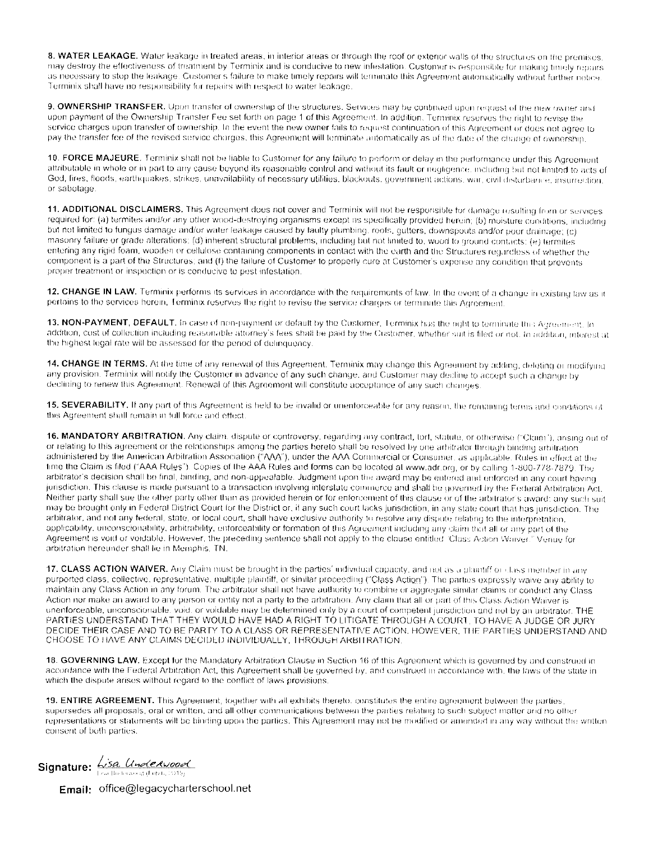8. WATER LEAKAGE. Water leakage in treated areas, in interior areas or through the roof or exterior walls of the structures on the premises. may destroy the effectiveness of treatment by Terminix and is conducive to new infestation. Customer is responsible for making timely repairs as necessary to stop the leakage. Customer's failure to make timely repairs will terminate this Agreement automatically without further notice. Terminix shall have no responsibility for repairs with respect to water leakage.

9. OWNERSHIP TRANSFER. Upon transfer of ownership of the structures. Services may be continued upon request of the new owner and upon payment of the Ownership Transter Fee set forth on page 1 of this Agreement. In addition, Terminix reserves the right to revise the service charges upon transfer of ownership. In the event the new owner fails to request continuation of this Agreement or does not agree to pay the transfer fee of the revised service charges, this Agreement will terminate automatically as of the date of the change of ownership

10. FORCE MAJEURE. Terminix shall not be fiable to Customer for any failure to perform or delay in the performance under this Agreement attributable in whole or in part to any cause beyond its reasonable control and without its fault or negligence, including but not limited to acts of God, fires, floods, earthquakes, strikes, unavailability of necessary utilities, blackouts, government actions, war, civil disturbance, insurrection or sabotage.

11. ADDITIONAL DISCLAIMERS. This Agreement does not cover and Terminix will not be responsible for damage resulting from or services required for: (a) termites and/or any other wood-destroying organisms except as specifically provided herein; (b) moisture conditions, including but not limited to fungus damage and/or water leakage caused by faulty plumbing, roofs, gutters, downspouts and/or poor drainage; (c) masonry failure or grade alterations: (d) inherent structural problems, including but not limited to, wood to ground contacts; (e) termites entering any rigid foam, wooden or cellulose containing components in contact with the earth and the Structures regardless of whether the component is a part of the Structures; and (f) the failure of Customer to properly cure at Customer's expense any condition that prevents proper treatment or inspection or is conducive to post infestation.

12. CHANGE IN LAW. Terminix performs its services in accordance with the requirements of law. In the event of a change in existing law as it pertains to the services herein, Terminix reserves the right to revise the service charges or terminate this Agreement.

13. NON-PAYMENT, DEFAULT. In case of non-payment or default by the Customer, Terminix has the nght to terminate this Agreement. In addition, cost of collection including reasonable attorney's fees shall be paid by the Customer, whether suit is filed or not. In addition, interest at the highest legal rate will be assessed for the period of delinquency.

14. CHANGE IN TERMS. At the time of any renewal of this Agreement. Terminix may change this Agreement by adding, deleting or modifying any provision. Terminix will notify the Customer in advance of any such change, and Customer may decline to accept such a change by declining to renew this Agreement. Renewal of this Agreement will constitute acceptance of any such changes.

15. SEVERABILITY. If any part of this Agreement is held to be invalid or unenforceable for any reason, the remaining terms and conditions of this Agreement shall remain in full force and effect.

16. MANDATORY ARBITRATION. Any claim, dispute or controversy, regarding any contract, tort, statute, or otherwise ("Claim"), ansing out of or relating to this agreement or the relationships among the parties hereto shall be resolved by one arbitrator through binding arbitration administered by the American Arbitration Association ("VVA"), under the AAA Commercial or Consumer, as applicable. Rules in effect at the time the Claim is filed ("AAA Rules"). Copies of the AAA Rules and forms can be located at www.adr.org, or by calling 1-800-778-7879. The arbitrator's decision shall be final, binding, and non-appealable. Judgment upon the award may be entered and enforced in any court having jurisdiction. This clause is made pursuant to a transaction involving interstate commerce and shall be governed by the Federal Arbitration Act. Neither party shall sue the other party other than as provided herein or for enforcoment of this clause or of the arbitrator's award; any such suit may be brought only in Federal District Court for the District or, if any such court lacks jurisdiction, in any state court that has jurisdiction. The arbitrator, and not any federal, state, or local court, shall have exclusive authority to resolve any dispute relating to the interpretation, applicability, unconscionability, arbitrability, enforceability or formation of this Agreement including any claim that all or any part of the Agreement is void or voidable. However, the preceding sentence shall not apply to the clause entitled. Class Action Waiver." Venue for arbitration hereunder shall lie in Memphis, TN.

17. CLASS ACTION WAIVER. Any Claim must be brought in the parties' individual capacity, and not as a plantiff or class member in any purported class, collective, representative, multiple plaintiff, or similar proceeding ("Class Action"). The parties expressly waive any ability to maintain any Class Action in any forum. The arbitrator shall not have authority to combine or aggregate similar claims or conduct any Class Action nor make an award to any person or entity not a party to the arbitration. Any claim that all or part of this Class Action Waiver is unenforceable, unconscionable, void, or voidable may be determined only by a court of competent jurisdiction and not by an arbitrator. THE PARTIES UNDERSTAND THAT THEY WOULD HAVE HAD A RIGHT TO LITIGATE THROUGH A COURT. TO HAVE A JUDGE OR JURY DECIDE THEIR CASE AND TO BE PARTY TO A CLASS OR REPRESENTATIVE ACTION. HOWEVER, THE PARTIES UNIJERSTAND AND CHOOSE TO HAVE ANY CLAIMS DECIDED INDIVIDUALLY, THROUGH ARBITRATION.

18. GOVERNING LAW. Except for the Mandatory Arbitration Clause in Section 16 of this Agreement which is governed by and construed in accordance with the Federal Arbitration Act, this Agreement shall be governed by, and construed in accordance with, the laws of the state in which the dispute arises without regard to the conflict of laws provisions.

19. ENTIRE AGREEMENT. This Agreement, together with all exhibits thereto, constitutes the entire agreement between the parties, supersedes all proposals, oral or written, and all other communications between the parties relating to such subject matter and no other representations or statements will be binding upon the parties. This Agreement may not be modified or amended in any way without the written consent of both parties.

Signature: 45a Underwood

**Email:** office@legacycharterschool.net